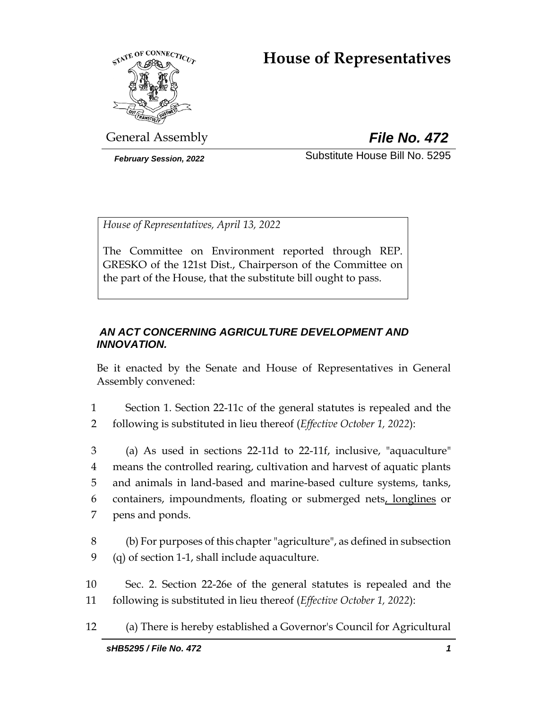# **House of Representatives**



General Assembly *File No. 472*

*February Session, 2022* Substitute House Bill No. 5295

*House of Representatives, April 13, 2022*

The Committee on Environment reported through REP. GRESKO of the 121st Dist., Chairperson of the Committee on the part of the House, that the substitute bill ought to pass.

### *AN ACT CONCERNING AGRICULTURE DEVELOPMENT AND INNOVATION.*

Be it enacted by the Senate and House of Representatives in General Assembly convened:

1 Section 1. Section 22-11c of the general statutes is repealed and the 2 following is substituted in lieu thereof (*Effective October 1, 2022*):

 (a) As used in sections 22-11d to 22-11f, inclusive, "aquaculture" means the controlled rearing, cultivation and harvest of aquatic plants and animals in land-based and marine-based culture systems, tanks, containers, impoundments, floating or submerged nets, longlines or pens and ponds.

- 8 (b) For purposes of this chapter "agriculture", as defined in subsection 9 (q) of section 1-1, shall include aquaculture.
- 10 Sec. 2. Section 22-26e of the general statutes is repealed and the 11 following is substituted in lieu thereof (*Effective October 1, 2022*):
- 12 (a) There is hereby established a Governor's Council for Agricultural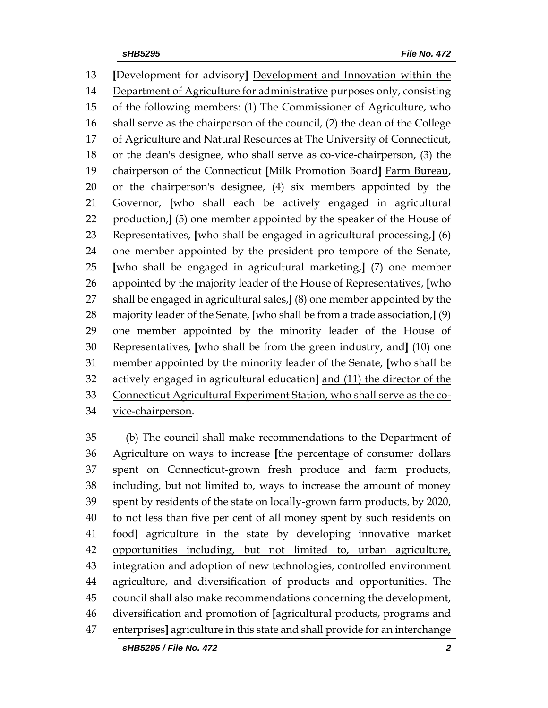**[**Development for advisory**]** Development and Innovation within the Department of Agriculture for administrative purposes only, consisting of the following members: (1) The Commissioner of Agriculture, who shall serve as the chairperson of the council, (2) the dean of the College of Agriculture and Natural Resources at The University of Connecticut, or the dean's designee, who shall serve as co-vice-chairperson, (3) the chairperson of the Connecticut **[**Milk Promotion Board**]** Farm Bureau, or the chairperson's designee, (4) six members appointed by the Governor, **[**who shall each be actively engaged in agricultural production,**]** (5) one member appointed by the speaker of the House of Representatives, **[**who shall be engaged in agricultural processing,**]** (6) one member appointed by the president pro tempore of the Senate, **[**who shall be engaged in agricultural marketing,**]** (7) one member appointed by the majority leader of the House of Representatives, **[**who shall be engaged in agricultural sales,**]** (8) one member appointed by the majority leader of the Senate, **[**who shall be from a trade association,**]** (9) one member appointed by the minority leader of the House of Representatives, **[**who shall be from the green industry, and**]** (10) one member appointed by the minority leader of the Senate, **[**who shall be actively engaged in agricultural education**]** and (11) the director of the Connecticut Agricultural Experiment Station, who shall serve as the co-vice-chairperson.

 (b) The council shall make recommendations to the Department of Agriculture on ways to increase **[**the percentage of consumer dollars spent on Connecticut-grown fresh produce and farm products, including, but not limited to, ways to increase the amount of money spent by residents of the state on locally-grown farm products, by 2020, to not less than five per cent of all money spent by such residents on food**]** agriculture in the state by developing innovative market opportunities including, but not limited to, urban agriculture, integration and adoption of new technologies, controlled environment agriculture, and diversification of products and opportunities. The council shall also make recommendations concerning the development, diversification and promotion of **[**agricultural products, programs and enterprises**]** agriculture in this state and shall provide for an interchange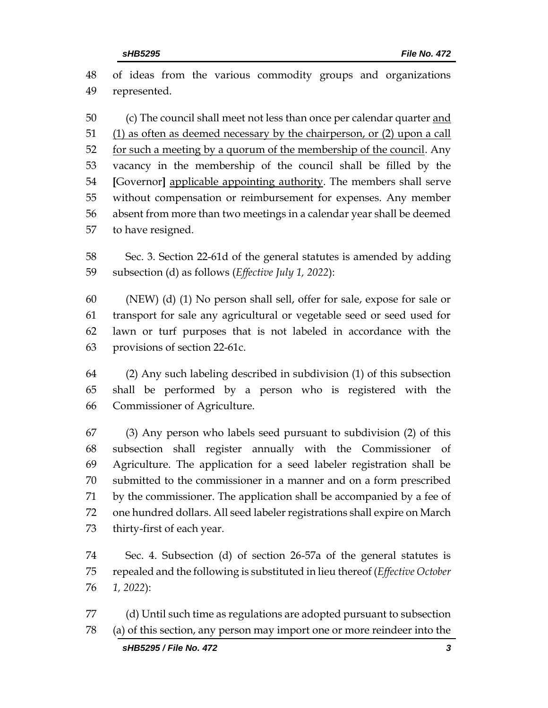of ideas from the various commodity groups and organizations represented. (c) The council shall meet not less than once per calendar quarter and (1) as often as deemed necessary by the chairperson, or (2) upon a call 52 for such a meeting by a quorum of the membership of the council. Any vacancy in the membership of the council shall be filled by the **[**Governor**]** applicable appointing authority. The members shall serve without compensation or reimbursement for expenses. Any member absent from more than two meetings in a calendar year shall be deemed to have resigned. Sec. 3. Section 22-61d of the general statutes is amended by adding subsection (d) as follows (*Effective July 1, 2022*):

 (NEW) (d) (1) No person shall sell, offer for sale, expose for sale or transport for sale any agricultural or vegetable seed or seed used for lawn or turf purposes that is not labeled in accordance with the provisions of section 22-61c.

 (2) Any such labeling described in subdivision (1) of this subsection shall be performed by a person who is registered with the Commissioner of Agriculture.

 (3) Any person who labels seed pursuant to subdivision (2) of this subsection shall register annually with the Commissioner of Agriculture. The application for a seed labeler registration shall be submitted to the commissioner in a manner and on a form prescribed by the commissioner. The application shall be accompanied by a fee of one hundred dollars. All seed labeler registrations shall expire on March thirty-first of each year.

 Sec. 4. Subsection (d) of section 26-57a of the general statutes is repealed and the following is substituted in lieu thereof (*Effective October 1, 2022*):

 (d) Until such time as regulations are adopted pursuant to subsection (a) of this section, any person may import one or more reindeer into the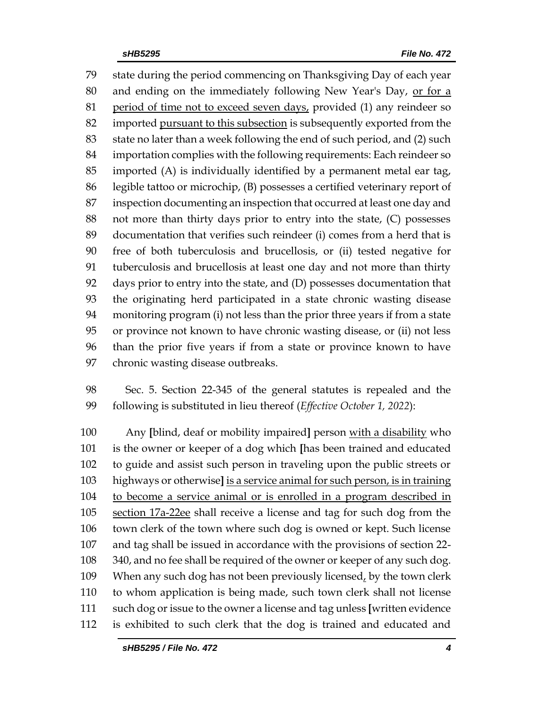state during the period commencing on Thanksgiving Day of each year and ending on the immediately following New Year's Day, or for a 81 period of time not to exceed seven days, provided (1) any reindeer so imported pursuant to this subsection is subsequently exported from the state no later than a week following the end of such period, and (2) such importation complies with the following requirements: Each reindeer so imported (A) is individually identified by a permanent metal ear tag, legible tattoo or microchip, (B) possesses a certified veterinary report of inspection documenting an inspection that occurred at least one day and not more than thirty days prior to entry into the state, (C) possesses documentation that verifies such reindeer (i) comes from a herd that is free of both tuberculosis and brucellosis, or (ii) tested negative for tuberculosis and brucellosis at least one day and not more than thirty days prior to entry into the state, and (D) possesses documentation that the originating herd participated in a state chronic wasting disease monitoring program (i) not less than the prior three years if from a state or province not known to have chronic wasting disease, or (ii) not less than the prior five years if from a state or province known to have chronic wasting disease outbreaks.

 Sec. 5. Section 22-345 of the general statutes is repealed and the following is substituted in lieu thereof (*Effective October 1, 2022*):

 Any **[**blind, deaf or mobility impaired**]** person with a disability who is the owner or keeper of a dog which **[**has been trained and educated to guide and assist such person in traveling upon the public streets or highways or otherwise**]** is a service animal for such person, is in training to become a service animal or is enrolled in a program described in section 17a-22ee shall receive a license and tag for such dog from the town clerk of the town where such dog is owned or kept. Such license and tag shall be issued in accordance with the provisions of section 22- 340, and no fee shall be required of the owner or keeper of any such dog. 109 When any such dog has not been previously licensed, by the town clerk to whom application is being made, such town clerk shall not license such dog or issue to the owner a license and tag unless **[**written evidence is exhibited to such clerk that the dog is trained and educated and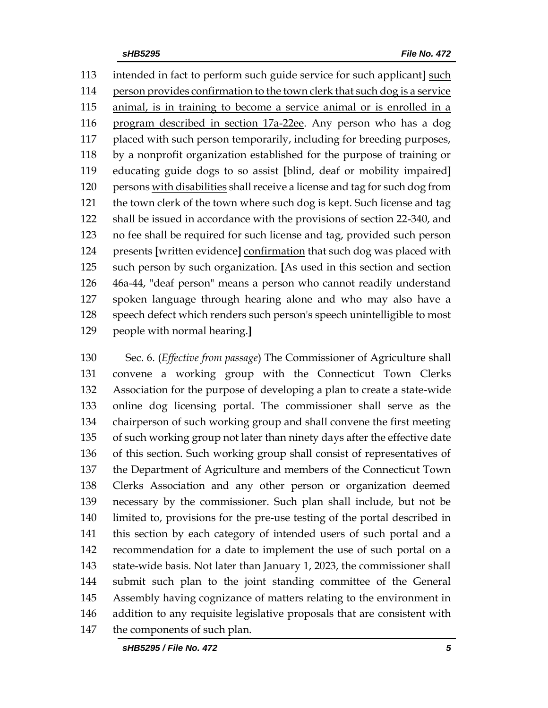intended in fact to perform such guide service for such applicant**]** such person provides confirmation to the town clerk that such dog is a service animal, is in training to become a service animal or is enrolled in a program described in section 17a-22ee. Any person who has a dog placed with such person temporarily, including for breeding purposes, by a nonprofit organization established for the purpose of training or educating guide dogs to so assist **[**blind, deaf or mobility impaired**]** persons with disabilities shall receive a license and tag for such dog from the town clerk of the town where such dog is kept. Such license and tag shall be issued in accordance with the provisions of section 22-340, and no fee shall be required for such license and tag, provided such person presents **[**written evidence**]** confirmation that such dog was placed with such person by such organization. **[**As used in this section and section 46a-44, "deaf person" means a person who cannot readily understand spoken language through hearing alone and who may also have a speech defect which renders such person's speech unintelligible to most people with normal hearing.**]**

 Sec. 6. (*Effective from passage*) The Commissioner of Agriculture shall convene a working group with the Connecticut Town Clerks Association for the purpose of developing a plan to create a state-wide online dog licensing portal. The commissioner shall serve as the chairperson of such working group and shall convene the first meeting of such working group not later than ninety days after the effective date of this section. Such working group shall consist of representatives of the Department of Agriculture and members of the Connecticut Town Clerks Association and any other person or organization deemed necessary by the commissioner. Such plan shall include, but not be limited to, provisions for the pre-use testing of the portal described in this section by each category of intended users of such portal and a recommendation for a date to implement the use of such portal on a state-wide basis. Not later than January 1, 2023, the commissioner shall submit such plan to the joint standing committee of the General Assembly having cognizance of matters relating to the environment in addition to any requisite legislative proposals that are consistent with the components of such plan.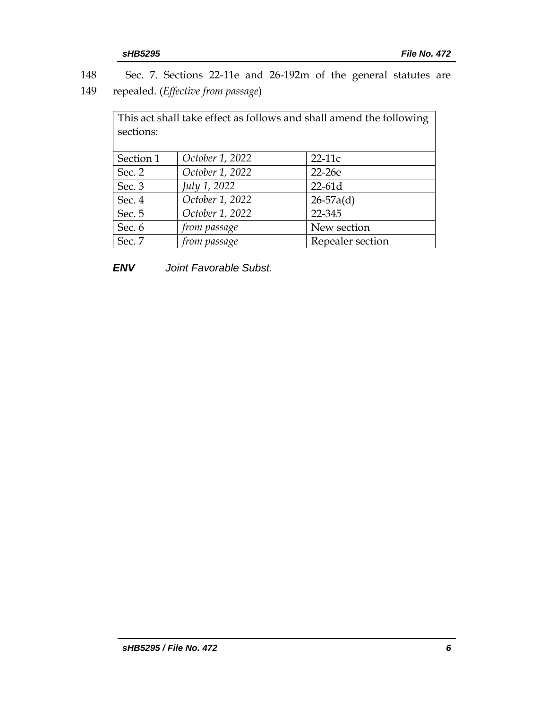148 Sec. 7. Sections 22-11e and 26-192m of the general statutes are 149 repealed. (*Effective from passage*)

| This act shall take effect as follows and shall amend the following<br>sections: |                 |                  |  |  |  |
|----------------------------------------------------------------------------------|-----------------|------------------|--|--|--|
|                                                                                  |                 |                  |  |  |  |
| Section 1                                                                        | October 1, 2022 | $22-11c$         |  |  |  |
| Sec. 2                                                                           | October 1, 2022 | 22-26e           |  |  |  |
| Sec. 3                                                                           | July 1, 2022    | $22-61d$         |  |  |  |
| Sec. 4                                                                           | October 1, 2022 | $26 - 57a(d)$    |  |  |  |
| Sec. 5                                                                           | October 1, 2022 | 22-345           |  |  |  |
| Sec. 6                                                                           | from passage    | New section      |  |  |  |
| Sec. 7                                                                           | from passage    | Repealer section |  |  |  |

*ENV Joint Favorable Subst.*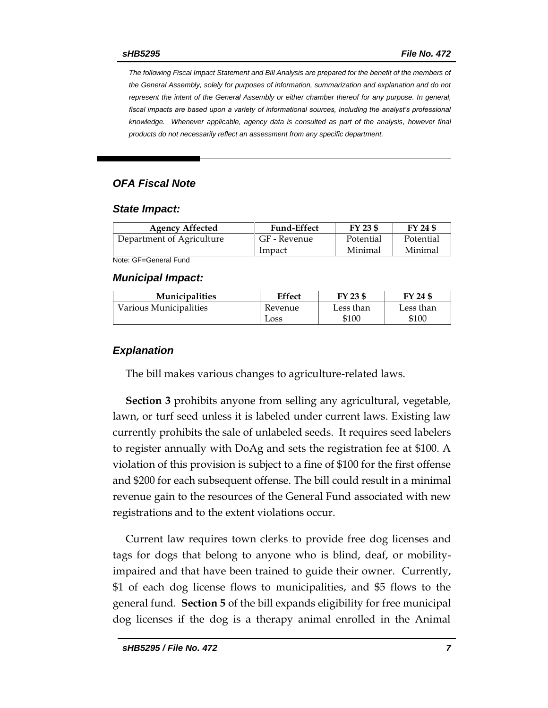*The following Fiscal Impact Statement and Bill Analysis are prepared for the benefit of the members of the General Assembly, solely for purposes of information, summarization and explanation and do not represent the intent of the General Assembly or either chamber thereof for any purpose. In general,*  fiscal impacts are based upon a variety of informational sources, including the analyst's professional *knowledge. Whenever applicable, agency data is consulted as part of the analysis, however final products do not necessarily reflect an assessment from any specific department.*

### *OFA Fiscal Note*

#### *State Impact:*

| <b>Agency Affected</b>    | <b>Fund-Effect</b> | FY 23 \$  | FY 24 \$  |
|---------------------------|--------------------|-----------|-----------|
| Department of Agriculture | GF - Revenue       | Potential | Potential |
|                           | Impact             | Minimal   | Minimal   |

Note: GF=General Fund

#### *Municipal Impact:*

| <b>Municipalities</b>  | Effect  | FY 23 \$  | FY 24 \$  |
|------------------------|---------|-----------|-----------|
| Various Municipalities | Revenue | Less than | Less than |
|                        | Loss    | \$100     | \$100     |

#### *Explanation*

The bill makes various changes to agriculture-related laws.

**Section 3** prohibits anyone from selling any agricultural, vegetable, lawn, or turf seed unless it is labeled under current laws. Existing law currently prohibits the sale of unlabeled seeds. It requires seed labelers to register annually with DoAg and sets the registration fee at \$100. A violation of this provision is subject to a fine of \$100 for the first offense and \$200 for each subsequent offense. The bill could result in a minimal revenue gain to the resources of the General Fund associated with new registrations and to the extent violations occur.

Current law requires town clerks to provide free dog licenses and tags for dogs that belong to anyone who is blind, deaf, or mobilityimpaired and that have been trained to guide their owner. Currently, \$1 of each dog license flows to municipalities, and \$5 flows to the general fund. **Section 5** of the bill expands eligibility for free municipal dog licenses if the dog is a therapy animal enrolled in the Animal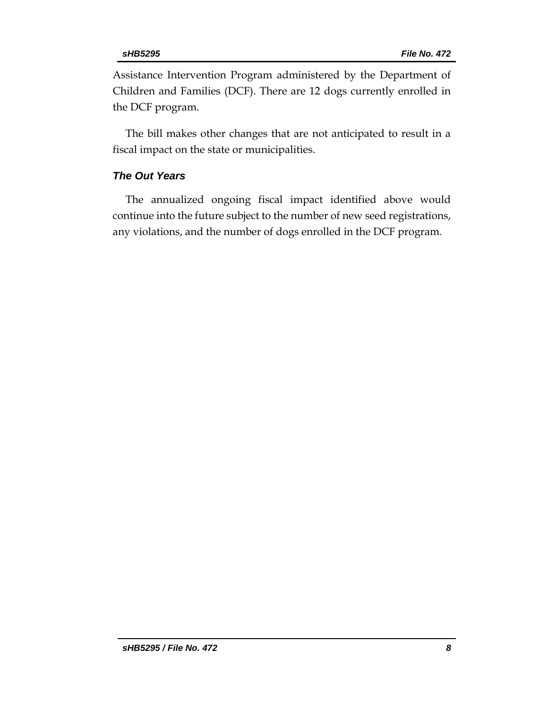Assistance Intervention Program administered by the Department of Children and Families (DCF). There are 12 dogs currently enrolled in the DCF program.

The bill makes other changes that are not anticipated to result in a fiscal impact on the state or municipalities.

#### *The Out Years*

The annualized ongoing fiscal impact identified above would continue into the future subject to the number of new seed registrations, any violations, and the number of dogs enrolled in the DCF program.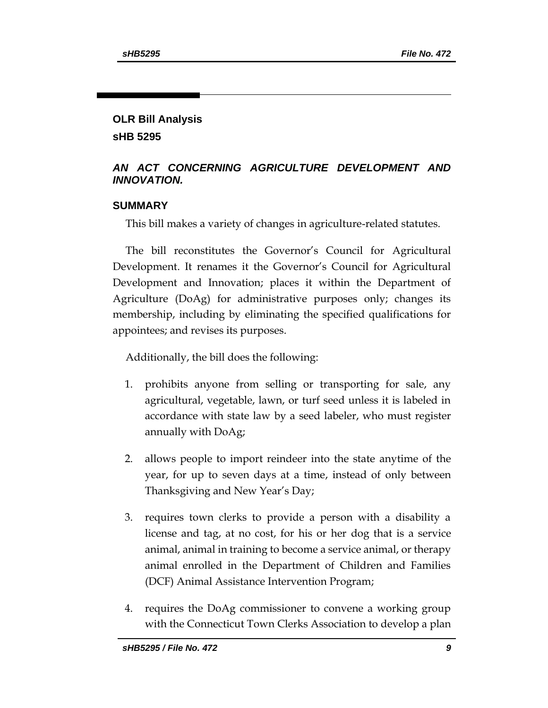### **OLR Bill Analysis sHB 5295**

### *AN ACT CONCERNING AGRICULTURE DEVELOPMENT AND INNOVATION.*

### **SUMMARY**

This bill makes a variety of changes in agriculture-related statutes.

The bill reconstitutes the Governor's Council for Agricultural Development. It renames it the Governor's Council for Agricultural Development and Innovation; places it within the Department of Agriculture (DoAg) for administrative purposes only; changes its membership, including by eliminating the specified qualifications for appointees; and revises its purposes.

Additionally, the bill does the following:

- 1. prohibits anyone from selling or transporting for sale, any agricultural, vegetable, lawn, or turf seed unless it is labeled in accordance with state law by a seed labeler, who must register annually with DoAg;
- 2. allows people to import reindeer into the state anytime of the year, for up to seven days at a time, instead of only between Thanksgiving and New Year's Day;
- 3. requires town clerks to provide a person with a disability a license and tag, at no cost, for his or her dog that is a service animal, animal in training to become a service animal, or therapy animal enrolled in the Department of Children and Families (DCF) Animal Assistance Intervention Program;
- 4. requires the DoAg commissioner to convene a working group with the Connecticut Town Clerks Association to develop a plan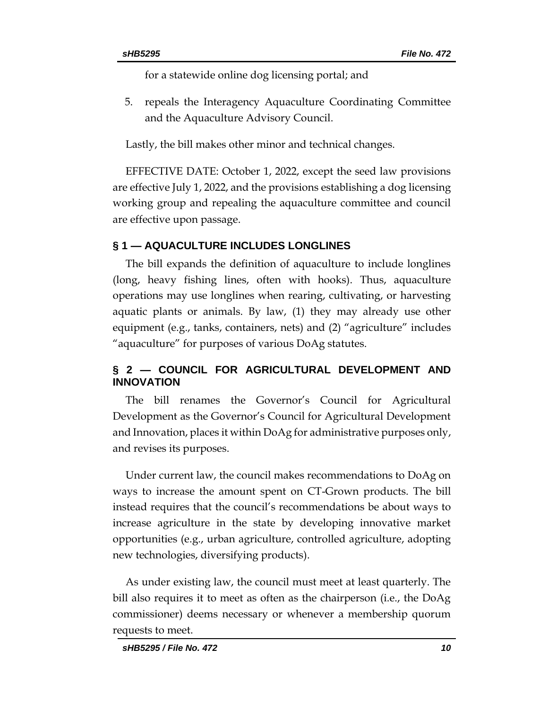for a statewide online dog licensing portal; and

5. repeals the Interagency Aquaculture Coordinating Committee and the Aquaculture Advisory Council.

Lastly, the bill makes other minor and technical changes.

EFFECTIVE DATE: October 1, 2022, except the seed law provisions are effective July 1, 2022, and the provisions establishing a dog licensing working group and repealing the aquaculture committee and council are effective upon passage.

### **§ 1 — AQUACULTURE INCLUDES LONGLINES**

The bill expands the definition of aquaculture to include longlines (long, heavy fishing lines, often with hooks). Thus, aquaculture operations may use longlines when rearing, cultivating, or harvesting aquatic plants or animals. By law, (1) they may already use other equipment (e.g., tanks, containers, nets) and (2) "agriculture" includes "aquaculture" for purposes of various DoAg statutes.

### **§ 2 — COUNCIL FOR AGRICULTURAL DEVELOPMENT AND INNOVATION**

The bill renames the Governor's Council for Agricultural Development as the Governor's Council for Agricultural Development and Innovation, places it within DoAg for administrative purposes only, and revises its purposes.

Under current law, the council makes recommendations to DoAg on ways to increase the amount spent on CT-Grown products. The bill instead requires that the council's recommendations be about ways to increase agriculture in the state by developing innovative market opportunities (e.g., urban agriculture, controlled agriculture, adopting new technologies, diversifying products).

As under existing law, the council must meet at least quarterly. The bill also requires it to meet as often as the chairperson (i.e., the DoAg commissioner) deems necessary or whenever a membership quorum requests to meet.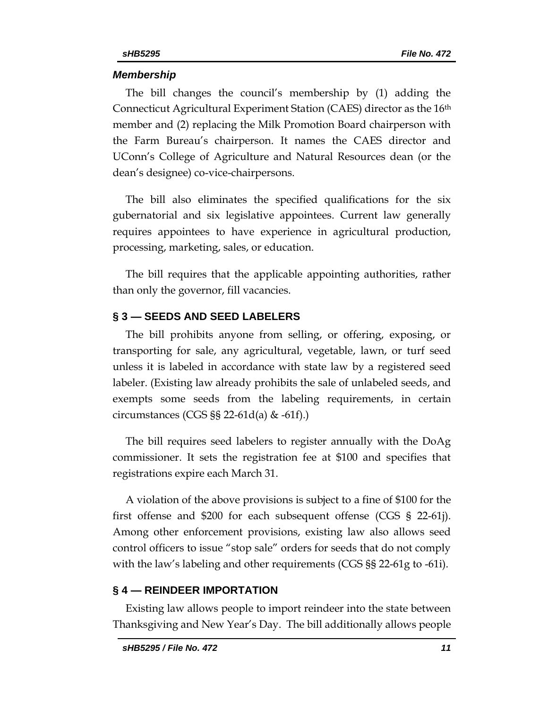#### *Membership*

The bill changes the council's membership by (1) adding the Connecticut Agricultural Experiment Station (CAES) director as the 16th member and (2) replacing the Milk Promotion Board chairperson with the Farm Bureau's chairperson. It names the CAES director and UConn's College of Agriculture and Natural Resources dean (or the dean's designee) co-vice-chairpersons.

The bill also eliminates the specified qualifications for the six gubernatorial and six legislative appointees. Current law generally requires appointees to have experience in agricultural production, processing, marketing, sales, or education.

The bill requires that the applicable appointing authorities, rather than only the governor, fill vacancies.

#### **§ 3 — SEEDS AND SEED LABELERS**

The bill prohibits anyone from selling, or offering, exposing, or transporting for sale, any agricultural, vegetable, lawn, or turf seed unless it is labeled in accordance with state law by a registered seed labeler. (Existing law already prohibits the sale of unlabeled seeds, and exempts some seeds from the labeling requirements, in certain circumstances (CGS  $\S$ § 22-61d(a) & -61f).)

The bill requires seed labelers to register annually with the DoAg commissioner. It sets the registration fee at \$100 and specifies that registrations expire each March 31.

A violation of the above provisions is subject to a fine of \$100 for the first offense and \$200 for each subsequent offense (CGS § 22-61j). Among other enforcement provisions, existing law also allows seed control officers to issue "stop sale" orders for seeds that do not comply with the law's labeling and other requirements (CGS §§ 22-61g to -61i).

### **§ 4 — REINDEER IMPORTATION**

Existing law allows people to import reindeer into the state between Thanksgiving and New Year's Day. The bill additionally allows people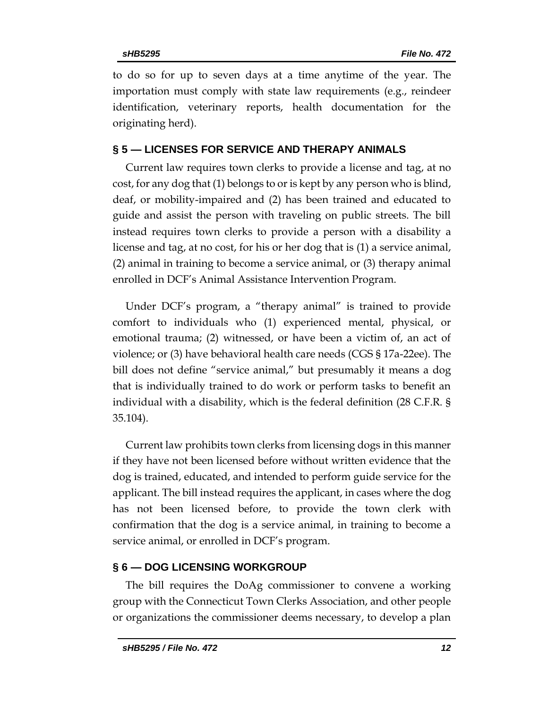to do so for up to seven days at a time anytime of the year. The importation must comply with state law requirements (e.g., reindeer identification, veterinary reports, health documentation for the originating herd).

## **§ 5 — LICENSES FOR SERVICE AND THERAPY ANIMALS**

Current law requires town clerks to provide a license and tag, at no cost, for any dog that (1) belongs to or is kept by any person who is blind, deaf, or mobility-impaired and (2) has been trained and educated to guide and assist the person with traveling on public streets. The bill instead requires town clerks to provide a person with a disability a license and tag, at no cost, for his or her dog that is (1) a service animal, (2) animal in training to become a service animal, or (3) therapy animal enrolled in DCF's Animal Assistance Intervention Program.

Under DCF's program, a "therapy animal" is trained to provide comfort to individuals who (1) experienced mental, physical, or emotional trauma; (2) witnessed, or have been a victim of, an act of violence; or (3) have behavioral health care needs (CGS § 17a-22ee). The bill does not define "service animal," but presumably it means a dog that is individually trained to do work or perform tasks to benefit an individual with a disability, which is the federal definition (28 C.F.R. § 35.104).

Current law prohibits town clerks from licensing dogs in this manner if they have not been licensed before without written evidence that the dog is trained, educated, and intended to perform guide service for the applicant. The bill instead requires the applicant, in cases where the dog has not been licensed before, to provide the town clerk with confirmation that the dog is a service animal, in training to become a service animal, or enrolled in DCF's program.

# **§ 6 — DOG LICENSING WORKGROUP**

The bill requires the DoAg commissioner to convene a working group with the Connecticut Town Clerks Association, and other people or organizations the commissioner deems necessary, to develop a plan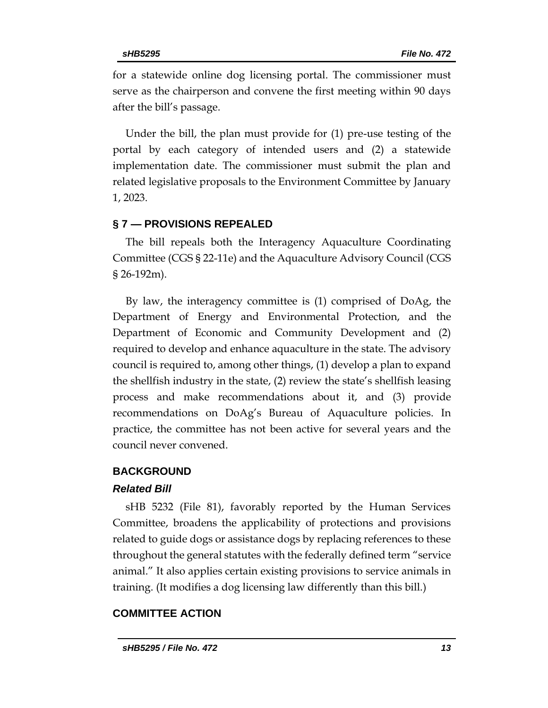for a statewide online dog licensing portal. The commissioner must serve as the chairperson and convene the first meeting within 90 days after the bill's passage.

Under the bill, the plan must provide for (1) pre-use testing of the portal by each category of intended users and (2) a statewide implementation date. The commissioner must submit the plan and related legislative proposals to the Environment Committee by January 1, 2023.

#### **§ 7 — PROVISIONS REPEALED**

The bill repeals both the Interagency Aquaculture Coordinating Committee (CGS § 22-11e) and the Aquaculture Advisory Council (CGS § 26-192m).

By law, the interagency committee is (1) comprised of DoAg, the Department of Energy and Environmental Protection, and the Department of Economic and Community Development and (2) required to develop and enhance aquaculture in the state. The advisory council is required to, among other things, (1) develop a plan to expand the shellfish industry in the state, (2) review the state's shellfish leasing process and make recommendations about it, and (3) provide recommendations on DoAg's Bureau of Aquaculture policies. In practice, the committee has not been active for several years and the council never convened.

#### **BACKGROUND**

#### *Related Bill*

sHB 5232 (File 81), favorably reported by the Human Services Committee, broadens the applicability of protections and provisions related to guide dogs or assistance dogs by replacing references to these throughout the general statutes with the federally defined term "service animal." It also applies certain existing provisions to service animals in training. (It modifies a dog licensing law differently than this bill.)

### **COMMITTEE ACTION**